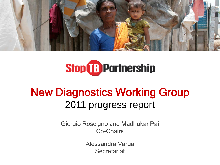

# **Stop & Partnership**

### New Diagnostics Working Group 2011 progress report

Giorgio Roscigno and Madhukar Pai Co-Chairs

> Alessandra Varga **Secretariat**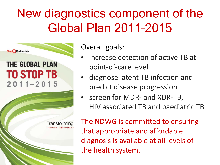## New diagnostics component of the Global Plan 2011–2015



Overall goals:

- increase detection of active TB at point-of-care level
- diagnose latent TB infection and predict disease progression
- screen for MDR- and XDR-TB, HIV associated TB and paediatric TB

The NDWG is committed to ensuring that appropriate and affordable diagnosis is available at all levels of the health system.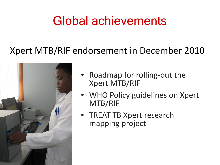## Global achievements

### Xpert MTB/RIF endorsement in December 2010



- Roadmap for rolling-out the Xpert MTB/RIF
- WHO Policy guidelines on Xpert MTB/RIF
- TREAT TB Xpert research mapping project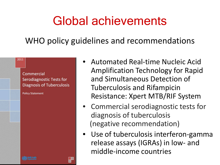### Global achievements

WHO policy guidelines and recommendations

#### 2011

Commercial **Serodiagnostic Tests for Diagnosis of Tuberculosis** 

**Policy Statement** 

- Automated Real-time Nucleic Acid Amplification Technology for Rapid and Simultaneous Detection of Tuberculosis and Rifampicin Resistance: Xpert MTB/RIF System
- Commercial serodiagnostic tests for diagnosis of tuberculosis (negative recommendation)
- Use of tuberculosis interferon-gamma release assays (IGRAs) in low- and middle-income countries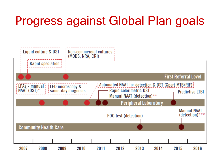## Progress against Global Plan goals

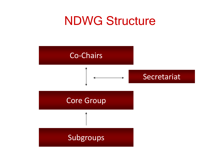### NDWG Structure

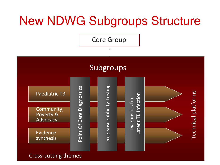

#### Cross-cutting themes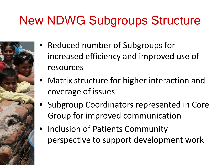## New NDWG Subgroups Structure

- Reduced number of Subgroups for increased efficiency and improved use of resources
- Matrix structure for higher interaction and coverage of issues
- Subgroup Coordinators represented in Core Group for improved communication
- Inclusion of Patients Community perspective to support development work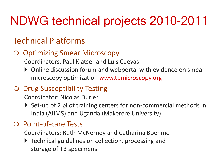## NDWG technical projects 2010-2011

### Technical Platforms

#### O Optimizing Smear Microscopy

Coordinators: Paul Klatser and Luis Cuevas

▶ Online discussion forum and webportal with evidence on smear microscopy optimization www.tbmicroscopy.org

### O Drug Susceptibility Testing

Coordinator: Nicolas Durier

▶ Set-up of 2 pilot training centers for non-commercial methods in India (AIIMS) and Uganda (Makerere University)

#### O Point-of-care Tests

Coordinators: Ruth McNerney and Catharina Boehme

▶ Technical guidelines on collection, processing and storage of TB specimens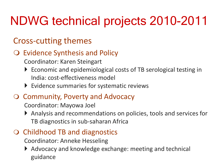# NDWG technical projects 2010-2011

### Cross-cutting themes

### O Evidence Synthesis and Policy

Coordinator: Karen Steingart

- ▶ Economic and epidemiological costs of TB serological testing in India: cost-effectiveness model
- Evidence summaries for systematic reviews

### O Community, Poverty and Advocacy

Coordinator: Mayowa Joel

- Analysis and recommendations on policies, tools and services for TB diagnostics in sub-saharan Africa
- O Childhood TB and diagnostics

Coordinator: Anneke Hesseling

▶ Advocacy and knowledge exchange: meeting and technical guidance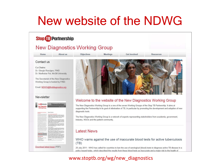### New website of the NDWG

#### **Stop B** Partnership **New Diagnostics Working Group** About us Objectives Get involved Home **Meetings Resources** Contact us Co-Chairs: Dr. Giorgio Roscigno, FIND Dr. Madhukar Pai, McGill University The Secretariat of the New Diagnostics Working Group is hosted by FIND. Email: NDWG@finddiagnostics.org Newsletter Welcome to the website of the New Diagnostics Working Group Newsletter The New Diagnostics Working Group is a one of the seven Working Groups of the Stop TB Partnership. It aims at supporting the Partnership in its goal of elimination of TB, in particular by promoting the development and adoption of new diagnostic tools. The New Diagnostics Working Group is a network of experts representing stakeholders from academia, government, industry, NGOs and the patient community. **Latest News** WHO warns against the use of inaccurate blood tests for active tuberculosis

 $(TB)$ 20 July 2011 - WHO has called for countries to ban the use of serological (blood) tests to diagnose active TB disease in a

policy issued today, which described the results from these blood tests as inaccurate and a major risk to the health of

#### www.stoptb.org/wg/new\_diagnostics

Download latest issue (PDF)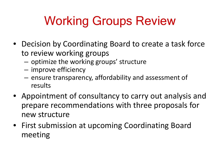# Working Groups Review

- Decision by Coordinating Board to create a task force to review working groups
	- optimize the working groups' structure
	- improve efficiency
	- ensure transparency, affordability and assessment of results
- Appointment of consultancy to carry out analysis and prepare recommendations with three proposals for new structure
- First submission at upcoming Coordinating Board meeting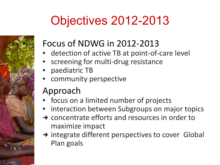# Objectives 2012-2013

### Focus of NDWG in 2012-2013

- detection of active TB at point-of-care level
- screening for multi-drug resistance
- paediatric TB
- community perspective

### Approach

- focus on a limited number of projects
- interaction between Subgroups on major topics
- $\rightarrow$  concentrate efforts and resources in order to maximize impact
- $\rightarrow$  integrate different perspectives to cover Global Plan goals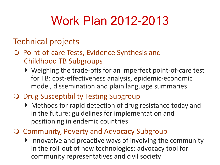## Work Plan 2012-2013

### Technical projects

- O Point-of-care Tests, Evidence Synthesis and Childhood TB Subgroups
	- ▶ Weighing the trade-offs for an imperfect point-of-care test for TB: cost-effectiveness analysis, epidemic-economic model, dissemination and plain language summaries
- O Drug Susceptibility Testing Subgroup
	- Methods for rapid detection of drug resistance today and in the future: guidelines for implementation and positioning in endemic countries
- O Community, Poverty and Advocacy Subgroup
	- Innovative and proactive ways of involving the community in the roll-out of new technologies: advocacy tool for community representatives and civil society